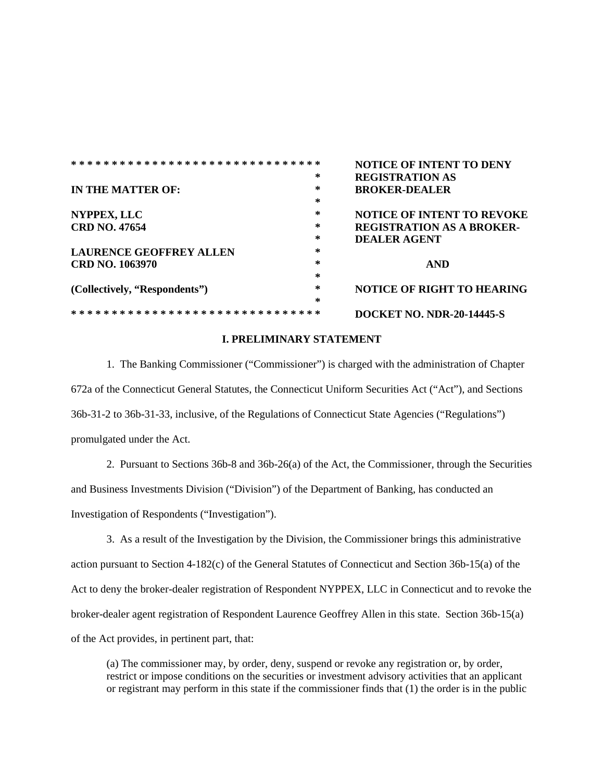|                                 |                     | <b>NOTICE OF INTENT TO DENY</b>   |
|---------------------------------|---------------------|-----------------------------------|
|                                 | *                   | <b>REGISTRATION AS</b>            |
| IN THE MATTER OF:               | *                   | <b>BROKER-DEALER</b>              |
|                                 | $\ast$              |                                   |
| NYPPEX, LLC                     | *                   | <b>NOTICE OF INTENT TO REVOKE</b> |
| <b>CRD NO. 47654</b>            | *                   | <b>REGISTRATION AS A BROKER-</b>  |
|                                 | ∗                   | <b>DEALER AGENT</b>               |
| <b>LAURENCE GEOFFREY ALLEN</b>  | ∗                   |                                   |
| <b>CRD NO. 1063970</b>          | $\ast$              | <b>AND</b>                        |
|                                 | $\ast$              |                                   |
| (Collectively, "Respondents")   | *                   | <b>NOTICE OF RIGHT TO HEARING</b> |
|                                 | $\ast$              |                                   |
| * * * * * * * * * * * * * * * * | * * * * * * * * * * | DOCKET NO. NDR-20-14445-S         |

### **I. PRELIMINARY STATEMENT**

1. The Banking Commissioner ("Commissioner") is charged with the administration of Chapter 672a of the Connecticut General Statutes, the Connecticut Uniform Securities Act ("Act"), and Sections 36b-31-2 to 36b-31-33, inclusive, of the Regulations of Connecticut State Agencies ("Regulations") promulgated under the Act.

2. Pursuant to Sections 36b-8 and 36b-26(a) of the Act, the Commissioner, through the Securities and Business Investments Division ("Division") of the Department of Banking, has conducted an Investigation of Respondents ("Investigation").

3. As a result of the Investigation by the Division, the Commissioner brings this administrative action pursuant to Section 4-182(c) of the General Statutes of Connecticut and Section 36b-15(a) of the Act to deny the broker-dealer registration of Respondent NYPPEX, LLC in Connecticut and to revoke the broker-dealer agent registration of Respondent Laurence Geoffrey Allen in this state. Section 36b-15(a) of the Act provides, in pertinent part, that:

(a) The commissioner may, by order, deny, suspend or revoke any registration or, by order, restrict or impose conditions on the securities or investment advisory activities that an applicant or registrant may perform in this state if the commissioner finds that (1) the order is in the public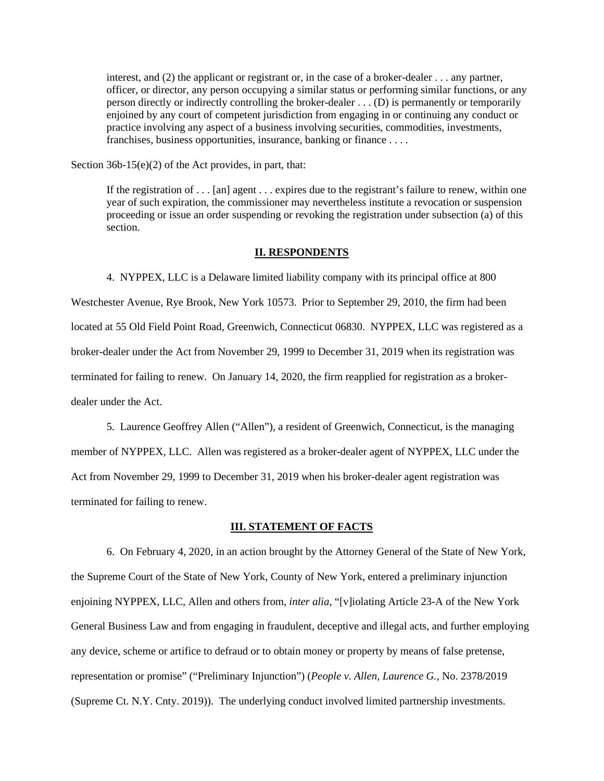interest, and (2) the applicant or registrant or, in the case of a broker-dealer . . . any partner, officer, or director, any person occupying a similar status or performing similar functions, or any person directly or indirectly controlling the broker-dealer . . . (D) is permanently or temporarily enjoined by any court of competent jurisdiction from engaging in or continuing any conduct or practice involving any aspect of a business involving securities, commodities, investments, franchises, business opportunities, insurance, banking or finance . . . .

Section 36b-15(e)(2) of the Act provides, in part, that:

If the registration of . . . [an] agent . . . expires due to the registrant's failure to renew, within one year of such expiration, the commissioner may nevertheless institute a revocation or suspension proceeding or issue an order suspending or revoking the registration under subsection (a) of this section.

#### **II. RESPONDENTS**

4. NYPPEX, LLC is a Delaware limited liability company with its principal office at 800 Westchester Avenue, Rye Brook, New York 10573. Prior to September 29, 2010, the firm had been located at 55 Old Field Point Road, Greenwich, Connecticut 06830. NYPPEX, LLC was registered as a broker-dealer under the Act from November 29, 1999 to December 31, 2019 when its registration was terminated for failing to renew. On January 14, 2020, the firm reapplied for registration as a brokerdealer under the Act.

5. Laurence Geoffrey Allen ("Allen"), a resident of Greenwich, Connecticut, is the managing member of NYPPEX, LLC. Allen was registered as a broker-dealer agent of NYPPEX, LLC under the Act from November 29, 1999 to December 31, 2019 when his broker-dealer agent registration was terminated for failing to renew.

### **III. STATEMENT OF FACTS**

6. On February 4, 2020, in an action brought by the Attorney General of the State of New York, the Supreme Court of the State of New York, County of New York, entered a preliminary injunction enjoining NYPPEX, LLC, Allen and others from, *inter alia*, "[v]iolating Article 23-A of the New York General Business Law and from engaging in fraudulent, deceptive and illegal acts, and further employing any device, scheme or artifice to defraud or to obtain money or property by means of false pretense, representation or promise" ("Preliminary Injunction") (*People v. Allen, Laurence G.*, No. 2378/2019 (Supreme Ct. N.Y. Cnty. 2019)). The underlying conduct involved limited partnership investments.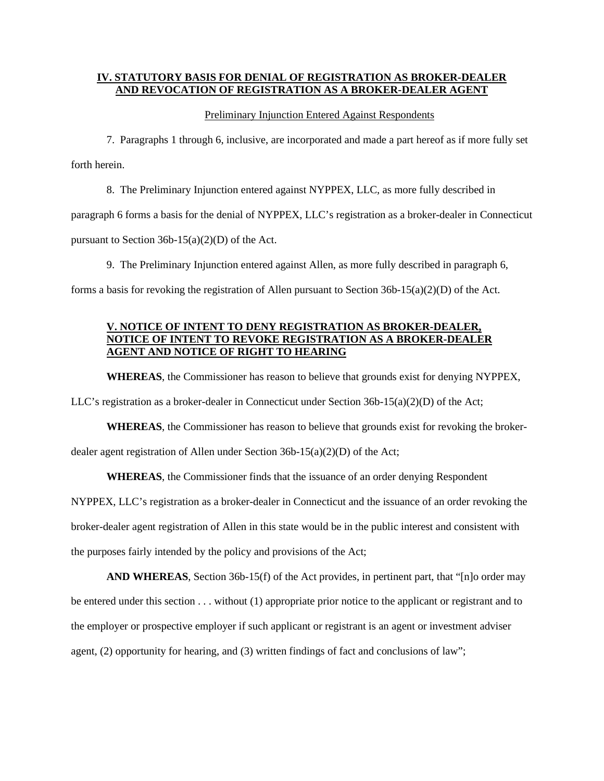## **IV. STATUTORY BASIS FOR DENIAL OF REGISTRATION AS BROKER-DEALER AND REVOCATION OF REGISTRATION AS A BROKER-DEALER AGENT**

Preliminary Injunction Entered Against Respondents

7. Paragraphs 1 through 6, inclusive, are incorporated and made a part hereof as if more fully set forth herein.

8. The Preliminary Injunction entered against NYPPEX, LLC, as more fully described in

paragraph 6 forms a basis for the denial of NYPPEX, LLC's registration as a broker-dealer in Connecticut

pursuant to Section  $36b-15(a)(2)(D)$  of the Act.

9. The Preliminary Injunction entered against Allen, as more fully described in paragraph 6,

forms a basis for revoking the registration of Allen pursuant to Section  $36b-15(a)(2)(D)$  of the Act.

# **V. NOTICE OF INTENT TO DENY REGISTRATION AS BROKER-DEALER, NOTICE OF INTENT TO REVOKE REGISTRATION AS A BROKER-DEALER AGENT AND NOTICE OF RIGHT TO HEARING**

**WHEREAS**, the Commissioner has reason to believe that grounds exist for denying NYPPEX,

LLC's registration as a broker-dealer in Connecticut under Section 36b-15(a)(2)(D) of the Act;

**WHEREAS**, the Commissioner has reason to believe that grounds exist for revoking the brokerdealer agent registration of Allen under Section 36b-15(a)(2)(D) of the Act;

**WHEREAS**, the Commissioner finds that the issuance of an order denying Respondent NYPPEX, LLC's registration as a broker-dealer in Connecticut and the issuance of an order revoking the broker-dealer agent registration of Allen in this state would be in the public interest and consistent with the purposes fairly intended by the policy and provisions of the Act;

**AND WHEREAS**, Section 36b-15(f) of the Act provides, in pertinent part, that "[n]o order may be entered under this section . . . without (1) appropriate prior notice to the applicant or registrant and to the employer or prospective employer if such applicant or registrant is an agent or investment adviser agent, (2) opportunity for hearing, and (3) written findings of fact and conclusions of law";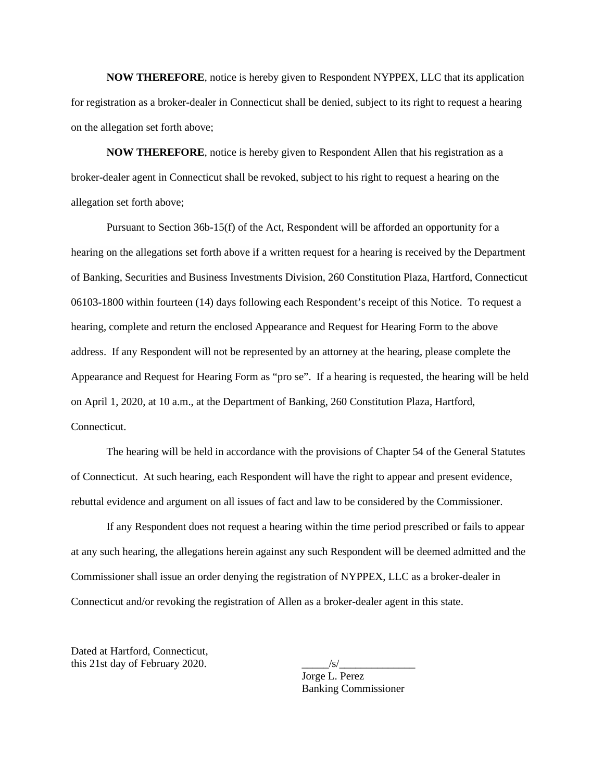**NOW THEREFORE**, notice is hereby given to Respondent NYPPEX, LLC that its application for registration as a broker-dealer in Connecticut shall be denied, subject to its right to request a hearing on the allegation set forth above;

**NOW THEREFORE**, notice is hereby given to Respondent Allen that his registration as a broker-dealer agent in Connecticut shall be revoked, subject to his right to request a hearing on the allegation set forth above;

Pursuant to Section 36b-15(f) of the Act, Respondent will be afforded an opportunity for a hearing on the allegations set forth above if a written request for a hearing is received by the Department of Banking, Securities and Business Investments Division, 260 Constitution Plaza, Hartford, Connecticut 06103-1800 within fourteen (14) days following each Respondent's receipt of this Notice. To request a hearing, complete and return the enclosed Appearance and Request for Hearing Form to the above address. If any Respondent will not be represented by an attorney at the hearing, please complete the Appearance and Request for Hearing Form as "pro se". If a hearing is requested, the hearing will be held on April 1, 2020, at 10 a.m., at the Department of Banking, 260 Constitution Plaza, Hartford, Connecticut.

The hearing will be held in accordance with the provisions of Chapter 54 of the General Statutes of Connecticut. At such hearing, each Respondent will have the right to appear and present evidence, rebuttal evidence and argument on all issues of fact and law to be considered by the Commissioner.

If any Respondent does not request a hearing within the time period prescribed or fails to appear at any such hearing, the allegations herein against any such Respondent will be deemed admitted and the Commissioner shall issue an order denying the registration of NYPPEX, LLC as a broker-dealer in Connecticut and/or revoking the registration of Allen as a broker-dealer agent in this state.

Dated at Hartford, Connecticut, this  $21st$  day of February 2020.

Jorge L. Perez Banking Commissioner